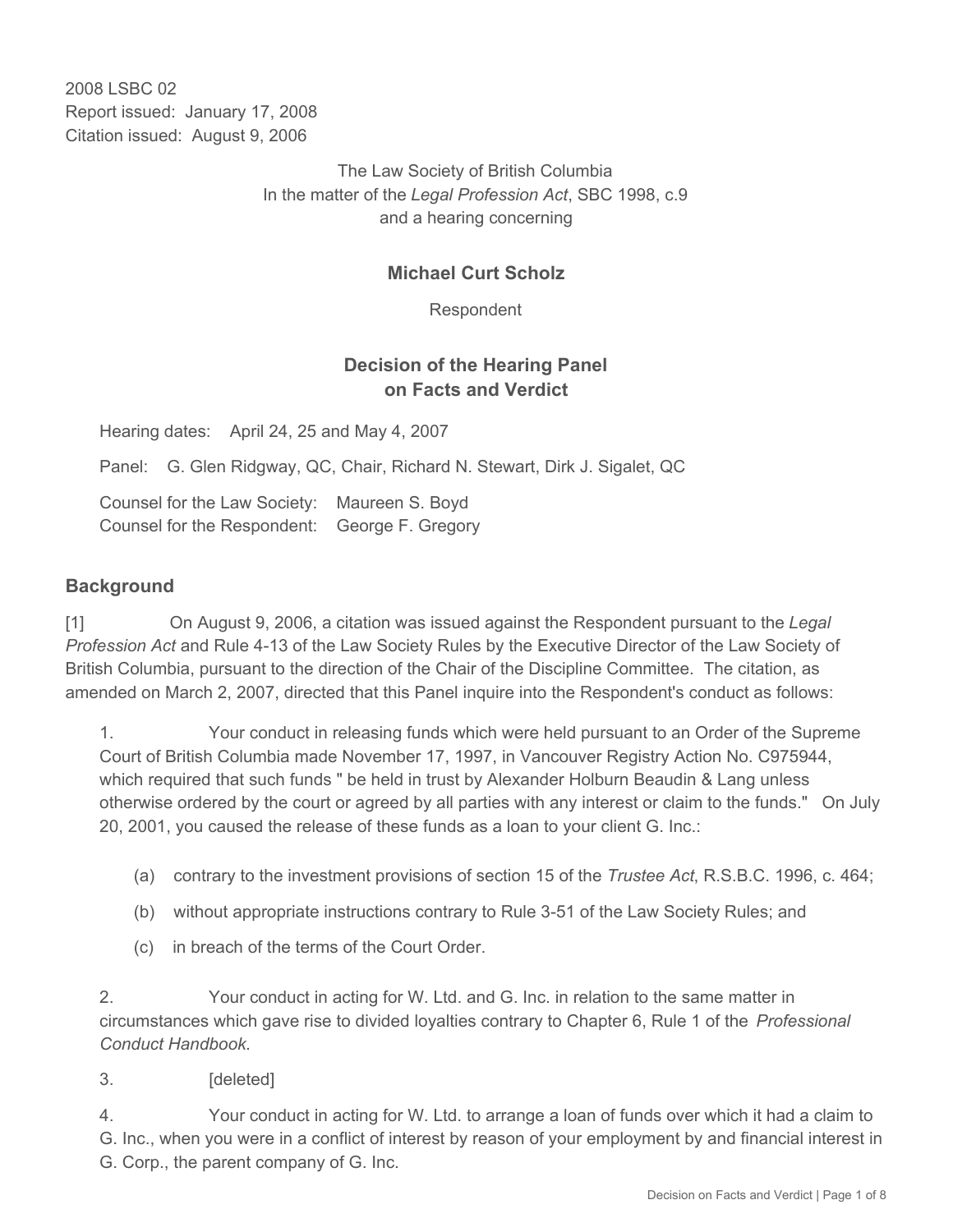2008 LSBC 02 Report issued: January 17, 2008 Citation issued: August 9, 2006

> The Law Society of British Columbia In the matter of the *Legal Profession Act*, SBC 1998, c.9 and a hearing concerning

## **Michael Curt Scholz**

Respondent

## **Decision of the Hearing Panel on Facts and Verdict**

Hearing dates: April 24, 25 and May 4, 2007

Panel: G. Glen Ridgway, QC, Chair, Richard N. Stewart, Dirk J. Sigalet, QC

Counsel for the Law Society: Maureen S. Boyd Counsel for the Respondent: George F. Gregory

### **Background**

[1] On August 9, 2006, a citation was issued against the Respondent pursuant to the *Legal Profession Act* and Rule 4-13 of the Law Society Rules by the Executive Director of the Law Society of British Columbia, pursuant to the direction of the Chair of the Discipline Committee. The citation, as amended on March 2, 2007, directed that this Panel inquire into the Respondent's conduct as follows:

1. Your conduct in releasing funds which were held pursuant to an Order of the Supreme Court of British Columbia made November 17, 1997, in Vancouver Registry Action No. C975944, which required that such funds " be held in trust by Alexander Holburn Beaudin & Lang unless otherwise ordered by the court or agreed by all parties with any interest or claim to the funds." On July 20, 2001, you caused the release of these funds as a loan to your client G. Inc.:

- (a) contrary to the investment provisions of section 15 of the *Trustee Act*, R.S.B.C. 1996, c. 464;
- (b) without appropriate instructions contrary to Rule 3-51 of the Law Society Rules; and
- (c) in breach of the terms of the Court Order.

2. Your conduct in acting for W. Ltd. and G. Inc. in relation to the same matter in circumstances which gave rise to divided loyalties contrary to Chapter 6, Rule 1 of the *Professional Conduct Handbook*.

3. [deleted]

4. Your conduct in acting for W. Ltd. to arrange a loan of funds over which it had a claim to G. Inc., when you were in a conflict of interest by reason of your employment by and financial interest in G. Corp., the parent company of G. Inc.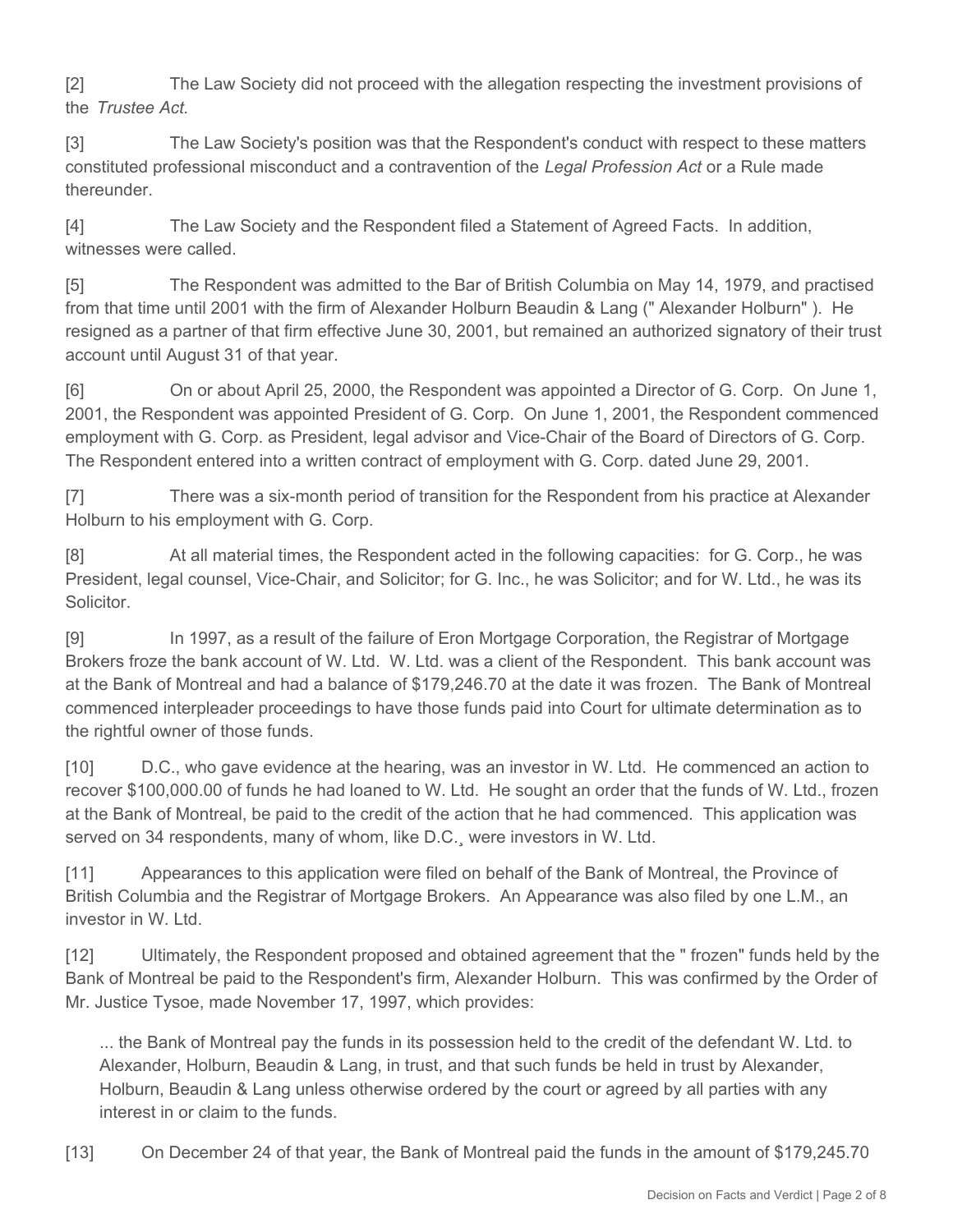[2] The Law Society did not proceed with the allegation respecting the investment provisions of the *Trustee Act.*

[3] The Law Society's position was that the Respondent's conduct with respect to these matters constituted professional misconduct and a contravention of the *Legal Profession Act* or a Rule made thereunder.

[4] The Law Society and the Respondent filed a Statement of Agreed Facts. In addition, witnesses were called.

[5] The Respondent was admitted to the Bar of British Columbia on May 14, 1979, and practised from that time until 2001 with the firm of Alexander Holburn Beaudin & Lang (" Alexander Holburn" ). He resigned as a partner of that firm effective June 30, 2001, but remained an authorized signatory of their trust account until August 31 of that year.

[6] On or about April 25, 2000, the Respondent was appointed a Director of G. Corp. On June 1, 2001, the Respondent was appointed President of G. Corp. On June 1, 2001, the Respondent commenced employment with G. Corp. as President, legal advisor and Vice-Chair of the Board of Directors of G. Corp. The Respondent entered into a written contract of employment with G. Corp. dated June 29, 2001.

[7] There was a six-month period of transition for the Respondent from his practice at Alexander Holburn to his employment with G. Corp.

[8] At all material times, the Respondent acted in the following capacities: for G. Corp., he was President, legal counsel, Vice-Chair, and Solicitor; for G. Inc., he was Solicitor; and for W. Ltd., he was its **Solicitor** 

[9] In 1997, as a result of the failure of Eron Mortgage Corporation, the Registrar of Mortgage Brokers froze the bank account of W. Ltd. W. Ltd. was a client of the Respondent. This bank account was at the Bank of Montreal and had a balance of \$179,246.70 at the date it was frozen. The Bank of Montreal commenced interpleader proceedings to have those funds paid into Court for ultimate determination as to the rightful owner of those funds.

[10] D.C., who gave evidence at the hearing, was an investor in W. Ltd. He commenced an action to recover \$100,000.00 of funds he had loaned to W. Ltd. He sought an order that the funds of W. Ltd., frozen at the Bank of Montreal, be paid to the credit of the action that he had commenced. This application was served on 34 respondents, many of whom, like D.C., were investors in W. Ltd.

[11] Appearances to this application were filed on behalf of the Bank of Montreal, the Province of British Columbia and the Registrar of Mortgage Brokers. An Appearance was also filed by one L.M., an investor in W. Ltd.

[12] Ultimately, the Respondent proposed and obtained agreement that the " frozen" funds held by the Bank of Montreal be paid to the Respondent's firm, Alexander Holburn. This was confirmed by the Order of Mr. Justice Tysoe, made November 17, 1997, which provides:

... the Bank of Montreal pay the funds in its possession held to the credit of the defendant W. Ltd. to Alexander, Holburn, Beaudin & Lang, in trust, and that such funds be held in trust by Alexander, Holburn, Beaudin & Lang unless otherwise ordered by the court or agreed by all parties with any interest in or claim to the funds.

[13] On December 24 of that year, the Bank of Montreal paid the funds in the amount of \$179,245.70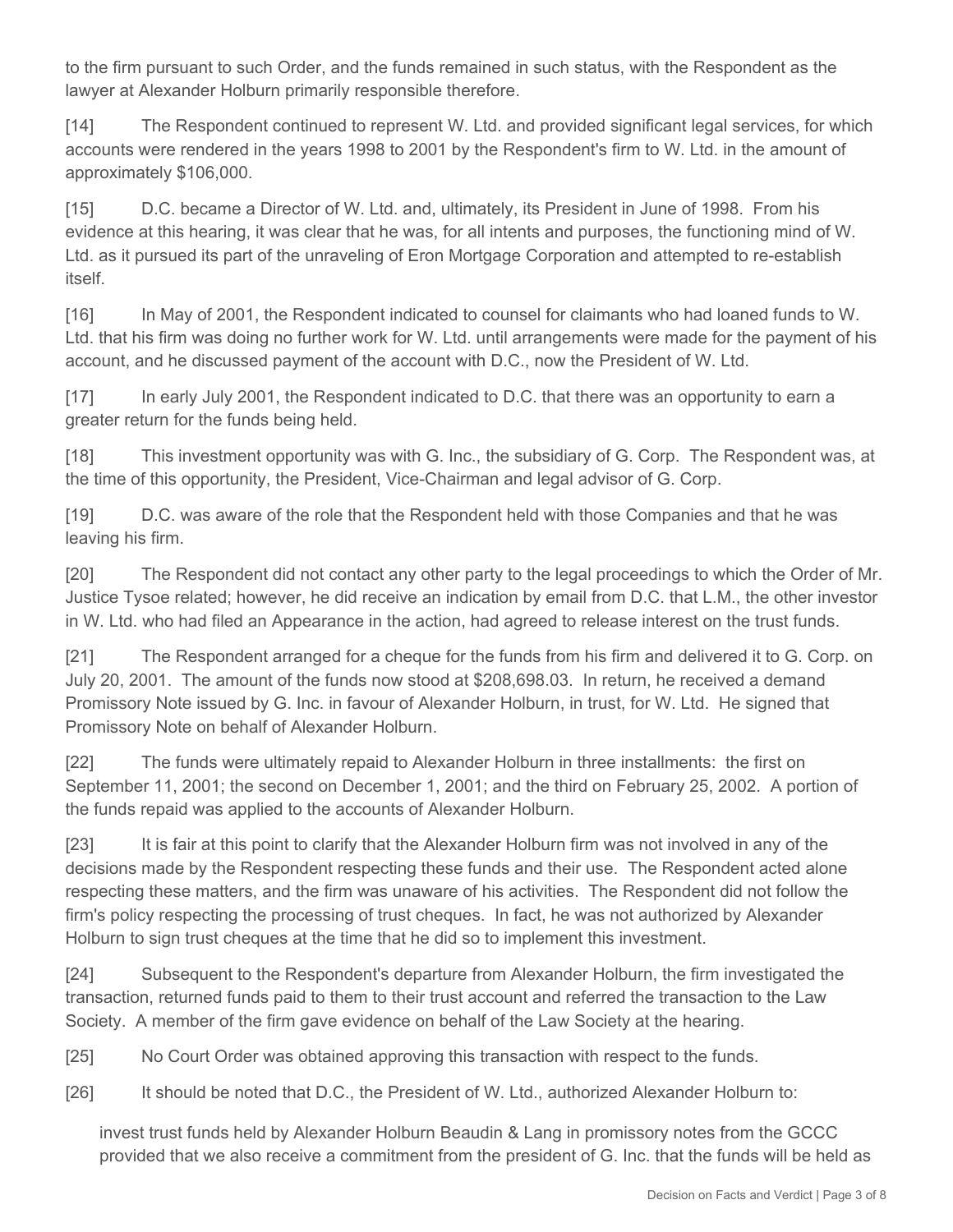to the firm pursuant to such Order, and the funds remained in such status, with the Respondent as the lawyer at Alexander Holburn primarily responsible therefore.

[14] The Respondent continued to represent W. Ltd. and provided significant legal services, for which accounts were rendered in the years 1998 to 2001 by the Respondent's firm to W. Ltd. in the amount of approximately \$106,000.

[15] D.C. became a Director of W. Ltd. and, ultimately, its President in June of 1998. From his evidence at this hearing, it was clear that he was, for all intents and purposes, the functioning mind of W. Ltd. as it pursued its part of the unraveling of Eron Mortgage Corporation and attempted to re-establish itself.

[16] In May of 2001, the Respondent indicated to counsel for claimants who had loaned funds to W. Ltd. that his firm was doing no further work for W. Ltd. until arrangements were made for the payment of his account, and he discussed payment of the account with D.C., now the President of W. Ltd.

[17] In early July 2001, the Respondent indicated to D.C. that there was an opportunity to earn a greater return for the funds being held.

[18] This investment opportunity was with G. Inc., the subsidiary of G. Corp. The Respondent was, at the time of this opportunity, the President, Vice-Chairman and legal advisor of G. Corp.

[19] D.C. was aware of the role that the Respondent held with those Companies and that he was leaving his firm.

[20] The Respondent did not contact any other party to the legal proceedings to which the Order of Mr. Justice Tysoe related; however, he did receive an indication by email from D.C. that L.M., the other investor in W. Ltd. who had filed an Appearance in the action, had agreed to release interest on the trust funds.

[21] The Respondent arranged for a cheque for the funds from his firm and delivered it to G. Corp. on July 20, 2001. The amount of the funds now stood at \$208,698.03. In return, he received a demand Promissory Note issued by G. Inc. in favour of Alexander Holburn, in trust, for W. Ltd. He signed that Promissory Note on behalf of Alexander Holburn.

[22] The funds were ultimately repaid to Alexander Holburn in three installments: the first on September 11, 2001; the second on December 1, 2001; and the third on February 25, 2002. A portion of the funds repaid was applied to the accounts of Alexander Holburn.

[23] It is fair at this point to clarify that the Alexander Holburn firm was not involved in any of the decisions made by the Respondent respecting these funds and their use. The Respondent acted alone respecting these matters, and the firm was unaware of his activities. The Respondent did not follow the firm's policy respecting the processing of trust cheques. In fact, he was not authorized by Alexander Holburn to sign trust cheques at the time that he did so to implement this investment.

[24] Subsequent to the Respondent's departure from Alexander Holburn, the firm investigated the transaction, returned funds paid to them to their trust account and referred the transaction to the Law Society. A member of the firm gave evidence on behalf of the Law Society at the hearing.

[25] No Court Order was obtained approving this transaction with respect to the funds.

[26] It should be noted that D.C., the President of W. Ltd., authorized Alexander Holburn to:

invest trust funds held by Alexander Holburn Beaudin & Lang in promissory notes from the GCCC provided that we also receive a commitment from the president of G. Inc. that the funds will be held as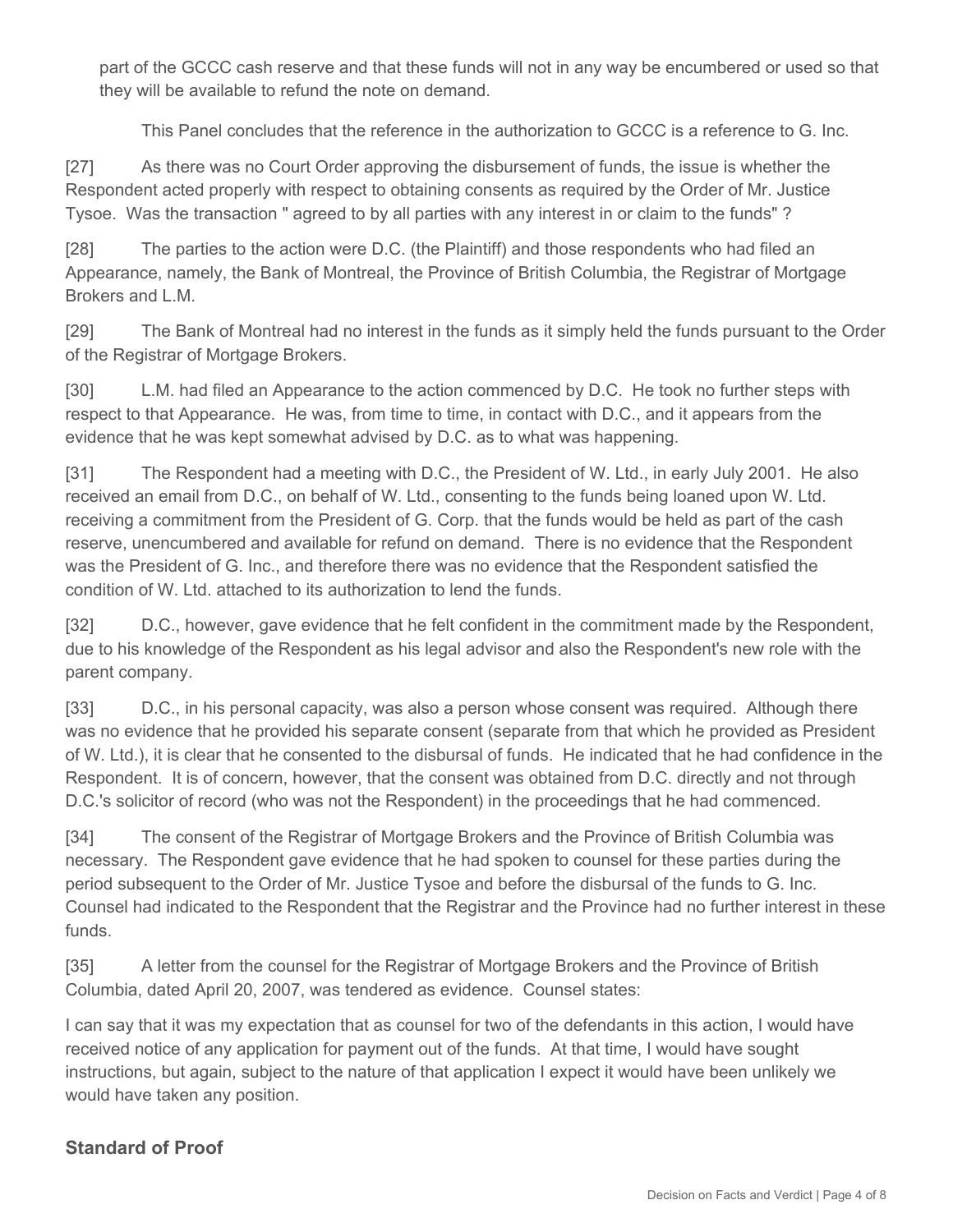part of the GCCC cash reserve and that these funds will not in any way be encumbered or used so that they will be available to refund the note on demand.

This Panel concludes that the reference in the authorization to GCCC is a reference to G. Inc.

[27] As there was no Court Order approving the disbursement of funds, the issue is whether the Respondent acted properly with respect to obtaining consents as required by the Order of Mr. Justice Tysoe. Was the transaction " agreed to by all parties with any interest in or claim to the funds" ?

[28] The parties to the action were D.C. (the Plaintiff) and those respondents who had filed an Appearance, namely, the Bank of Montreal, the Province of British Columbia, the Registrar of Mortgage Brokers and L.M.

[29] The Bank of Montreal had no interest in the funds as it simply held the funds pursuant to the Order of the Registrar of Mortgage Brokers.

[30] L.M. had filed an Appearance to the action commenced by D.C. He took no further steps with respect to that Appearance. He was, from time to time, in contact with D.C., and it appears from the evidence that he was kept somewhat advised by D.C. as to what was happening.

[31] The Respondent had a meeting with D.C., the President of W. Ltd., in early July 2001. He also received an email from D.C., on behalf of W. Ltd., consenting to the funds being loaned upon W. Ltd. receiving a commitment from the President of G. Corp. that the funds would be held as part of the cash reserve, unencumbered and available for refund on demand. There is no evidence that the Respondent was the President of G. Inc., and therefore there was no evidence that the Respondent satisfied the condition of W. Ltd. attached to its authorization to lend the funds.

[32] D.C., however, gave evidence that he felt confident in the commitment made by the Respondent, due to his knowledge of the Respondent as his legal advisor and also the Respondent's new role with the parent company.

[33] D.C., in his personal capacity, was also a person whose consent was required. Although there was no evidence that he provided his separate consent (separate from that which he provided as President of W. Ltd.), it is clear that he consented to the disbursal of funds. He indicated that he had confidence in the Respondent. It is of concern, however, that the consent was obtained from D.C. directly and not through D.C.'s solicitor of record (who was not the Respondent) in the proceedings that he had commenced.

[34] The consent of the Registrar of Mortgage Brokers and the Province of British Columbia was necessary. The Respondent gave evidence that he had spoken to counsel for these parties during the period subsequent to the Order of Mr. Justice Tysoe and before the disbursal of the funds to G. Inc. Counsel had indicated to the Respondent that the Registrar and the Province had no further interest in these funds.

[35] A letter from the counsel for the Registrar of Mortgage Brokers and the Province of British Columbia, dated April 20, 2007, was tendered as evidence. Counsel states:

I can say that it was my expectation that as counsel for two of the defendants in this action, I would have received notice of any application for payment out of the funds. At that time, I would have sought instructions, but again, subject to the nature of that application I expect it would have been unlikely we would have taken any position.

# **Standard of Proof**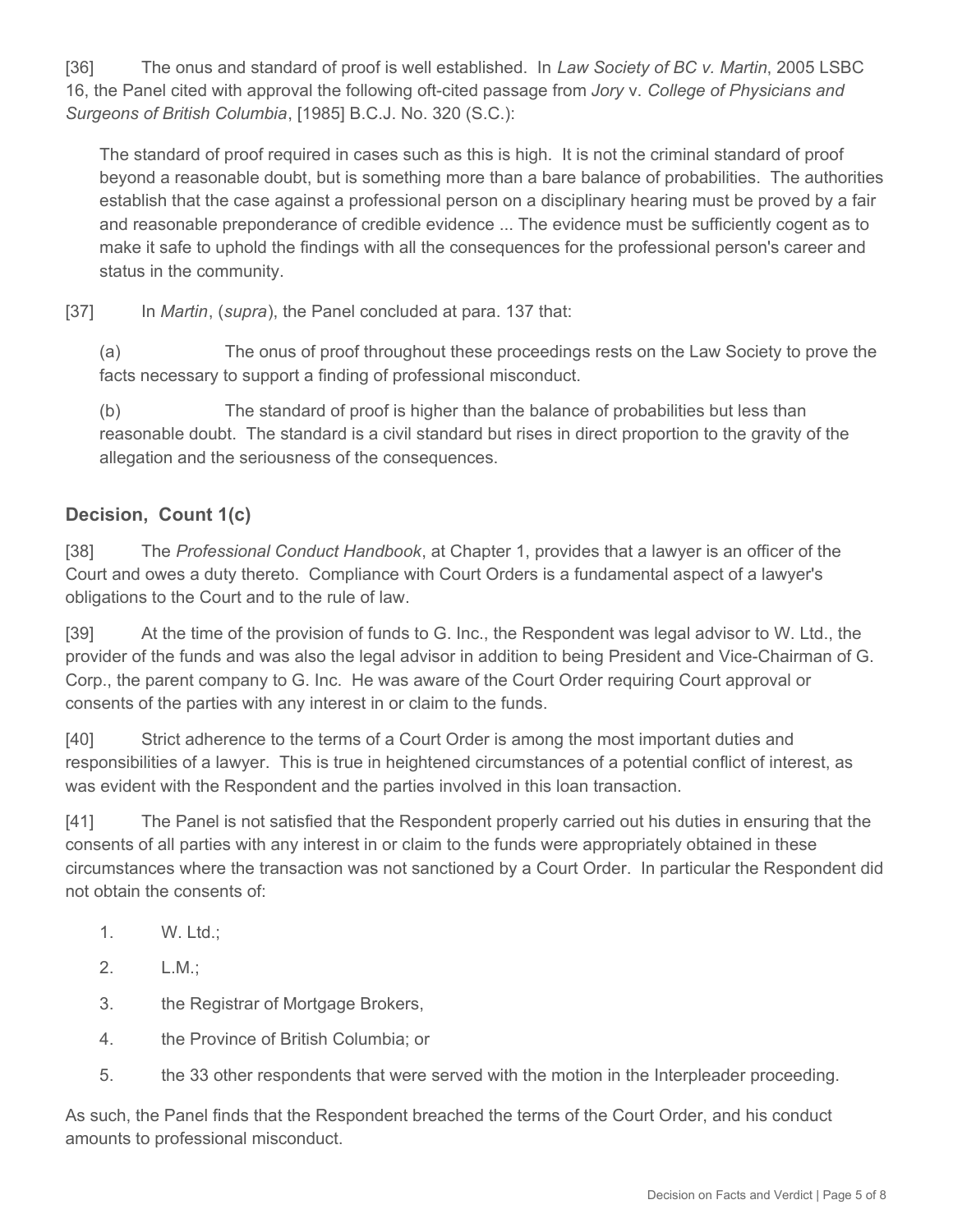[36] The onus and standard of proof is well established. In *Law Society of BC v. Martin*, 2005 LSBC 16, the Panel cited with approval the following oft-cited passage from *Jory* v. *College of Physicians and Surgeons of British Columbia*, [1985] B.C.J. No. 320 (S.C.):

The standard of proof required in cases such as this is high. It is not the criminal standard of proof beyond a reasonable doubt, but is something more than a bare balance of probabilities. The authorities establish that the case against a professional person on a disciplinary hearing must be proved by a fair and reasonable preponderance of credible evidence ... The evidence must be sufficiently cogent as to make it safe to uphold the findings with all the consequences for the professional person's career and status in the community.

[37] In *Martin*, (*supra*), the Panel concluded at para. 137 that:

(a) The onus of proof throughout these proceedings rests on the Law Society to prove the facts necessary to support a finding of professional misconduct.

(b) The standard of proof is higher than the balance of probabilities but less than reasonable doubt. The standard is a civil standard but rises in direct proportion to the gravity of the allegation and the seriousness of the consequences.

# **Decision, Count 1(c)**

[38] The *Professional Conduct Handbook*, at Chapter 1, provides that a lawyer is an officer of the Court and owes a duty thereto. Compliance with Court Orders is a fundamental aspect of a lawyer's obligations to the Court and to the rule of law.

[39] At the time of the provision of funds to G. Inc., the Respondent was legal advisor to W. Ltd., the provider of the funds and was also the legal advisor in addition to being President and Vice-Chairman of G. Corp., the parent company to G. Inc. He was aware of the Court Order requiring Court approval or consents of the parties with any interest in or claim to the funds.

[40] Strict adherence to the terms of a Court Order is among the most important duties and responsibilities of a lawyer. This is true in heightened circumstances of a potential conflict of interest, as was evident with the Respondent and the parties involved in this loan transaction.

[41] The Panel is not satisfied that the Respondent properly carried out his duties in ensuring that the consents of all parties with any interest in or claim to the funds were appropriately obtained in these circumstances where the transaction was not sanctioned by a Court Order. In particular the Respondent did not obtain the consents of:

- 1. W. Ltd.;
- 2. L.M.;
- 3. the Registrar of Mortgage Brokers,
- 4. the Province of British Columbia; or
- 5. the 33 other respondents that were served with the motion in the Interpleader proceeding.

As such, the Panel finds that the Respondent breached the terms of the Court Order, and his conduct amounts to professional misconduct.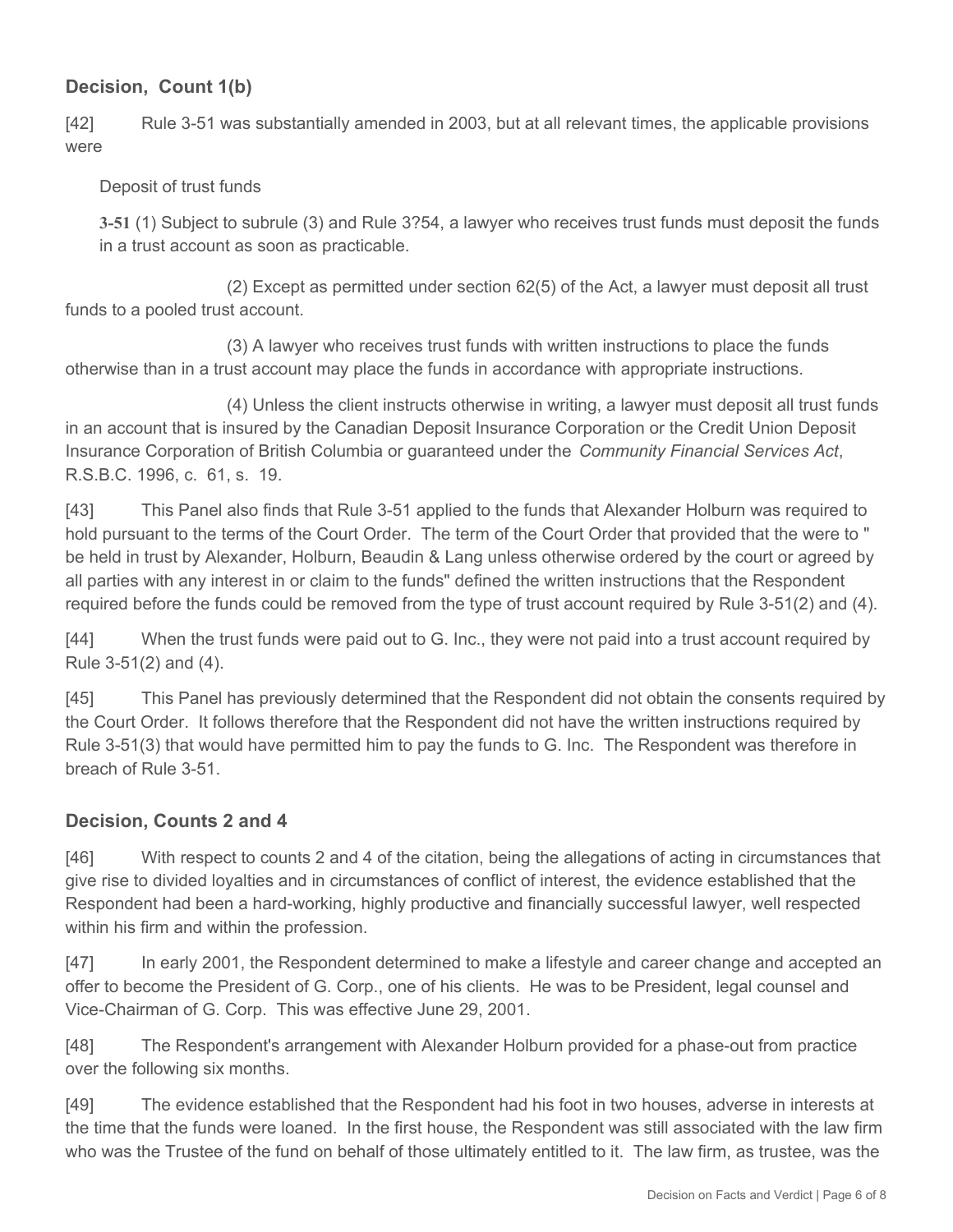### **Decision, Count 1(b)**

[42] Rule 3-51 was substantially amended in 2003, but at all relevant times, the applicable provisions were

#### Deposit of trust funds

**3-51** (1) Subject to subrule (3) and Rule 3?54, a lawyer who receives trust funds must deposit the funds in a trust account as soon as practicable.

 (2) Except as permitted under section 62(5) of the Act, a lawyer must deposit all trust funds to a pooled trust account.

 (3) A lawyer who receives trust funds with written instructions to place the funds otherwise than in a trust account may place the funds in accordance with appropriate instructions.

 (4) Unless the client instructs otherwise in writing, a lawyer must deposit all trust funds in an account that is insured by the Canadian Deposit Insurance Corporation or the Credit Union Deposit Insurance Corporation of British Columbia or guaranteed under the *Community Financial Services Act*, R.S.B.C. 1996, c. 61, s. 19.

[43] This Panel also finds that Rule 3-51 applied to the funds that Alexander Holburn was required to hold pursuant to the terms of the Court Order. The term of the Court Order that provided that the were to " be held in trust by Alexander, Holburn, Beaudin & Lang unless otherwise ordered by the court or agreed by all parties with any interest in or claim to the funds" defined the written instructions that the Respondent required before the funds could be removed from the type of trust account required by Rule 3-51(2) and (4).

[44] When the trust funds were paid out to G. Inc., they were not paid into a trust account required by Rule 3-51(2) and (4).

[45] This Panel has previously determined that the Respondent did not obtain the consents required by the Court Order. It follows therefore that the Respondent did not have the written instructions required by Rule 3-51(3) that would have permitted him to pay the funds to G. Inc. The Respondent was therefore in breach of Rule 3-51.

#### **Decision, Counts 2 and 4**

[46] With respect to counts 2 and 4 of the citation, being the allegations of acting in circumstances that give rise to divided loyalties and in circumstances of conflict of interest, the evidence established that the Respondent had been a hard-working, highly productive and financially successful lawyer, well respected within his firm and within the profession.

[47] In early 2001, the Respondent determined to make a lifestyle and career change and accepted an offer to become the President of G. Corp., one of his clients. He was to be President, legal counsel and Vice-Chairman of G. Corp. This was effective June 29, 2001.

[48] The Respondent's arrangement with Alexander Holburn provided for a phase-out from practice over the following six months.

[49] The evidence established that the Respondent had his foot in two houses, adverse in interests at the time that the funds were loaned. In the first house, the Respondent was still associated with the law firm who was the Trustee of the fund on behalf of those ultimately entitled to it. The law firm, as trustee, was the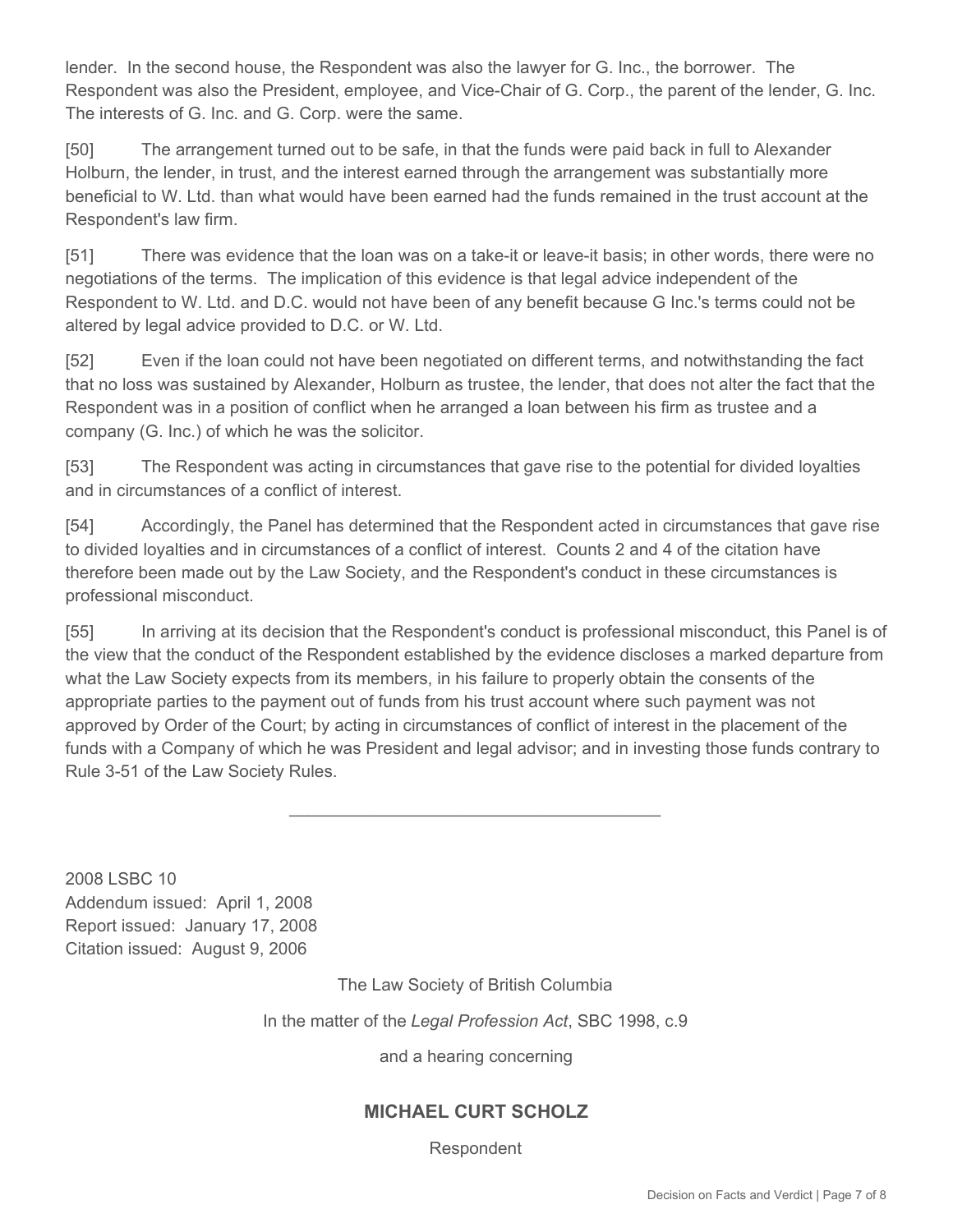lender. In the second house, the Respondent was also the lawyer for G. Inc., the borrower. The Respondent was also the President, employee, and Vice-Chair of G. Corp., the parent of the lender, G. Inc. The interests of G. Inc. and G. Corp. were the same.

[50] The arrangement turned out to be safe, in that the funds were paid back in full to Alexander Holburn, the lender, in trust, and the interest earned through the arrangement was substantially more beneficial to W. Ltd. than what would have been earned had the funds remained in the trust account at the Respondent's law firm.

[51] There was evidence that the loan was on a take-it or leave-it basis; in other words, there were no negotiations of the terms. The implication of this evidence is that legal advice independent of the Respondent to W. Ltd. and D.C. would not have been of any benefit because G Inc.'s terms could not be altered by legal advice provided to D.C. or W. Ltd.

[52] Even if the loan could not have been negotiated on different terms, and notwithstanding the fact that no loss was sustained by Alexander, Holburn as trustee, the lender, that does not alter the fact that the Respondent was in a position of conflict when he arranged a loan between his firm as trustee and a company (G. Inc.) of which he was the solicitor.

[53] The Respondent was acting in circumstances that gave rise to the potential for divided loyalties and in circumstances of a conflict of interest.

[54] Accordingly, the Panel has determined that the Respondent acted in circumstances that gave rise to divided loyalties and in circumstances of a conflict of interest. Counts 2 and 4 of the citation have therefore been made out by the Law Society, and the Respondent's conduct in these circumstances is professional misconduct.

[55] In arriving at its decision that the Respondent's conduct is professional misconduct, this Panel is of the view that the conduct of the Respondent established by the evidence discloses a marked departure from what the Law Society expects from its members, in his failure to properly obtain the consents of the appropriate parties to the payment out of funds from his trust account where such payment was not approved by Order of the Court; by acting in circumstances of conflict of interest in the placement of the funds with a Company of which he was President and legal advisor; and in investing those funds contrary to Rule 3-51 of the Law Society Rules.

\_\_\_\_\_\_\_\_\_\_\_\_\_\_\_\_\_\_\_\_\_\_\_\_\_\_\_\_\_\_\_\_\_\_\_\_\_\_\_

2008 LSBC 10 Addendum issued: April 1, 2008 Report issued: January 17, 2008 Citation issued: August 9, 2006

The Law Society of British Columbia

In the matter of the *Legal Profession Act*, SBC 1998, c.9

and a hearing concerning

# **MICHAEL CURT SCHOLZ**

Respondent